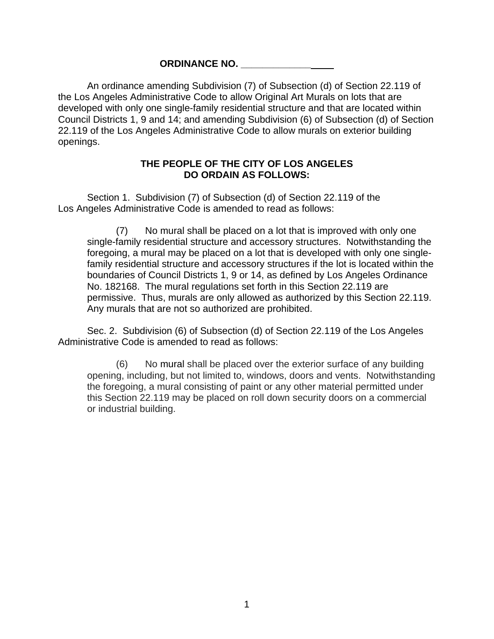## **ORDINANCE NO. \_\_\_\_\_\_\_\_\_\_\_\_\_**

An ordinance amending Subdivision (7) of Subsection (d) of Section 22.119 of the Los Angeles Administrative Code to allow Original Art Murals on lots that are developed with only one single-family residential structure and that are located within Council Districts 1, 9 and 14; and amending Subdivision (6) of Subsection (d) of Section 22.119 of the Los Angeles Administrative Code to allow murals on exterior building openings.

## **THE PEOPLE OF THE CITY OF LOS ANGELES DO ORDAIN AS FOLLOWS:**

Section 1. Subdivision (7) of Subsection (d) of Section 22.119 of the Los Angeles Administrative Code is amended to read as follows:

(7) No mural shall be placed on a lot that is improved with only one single-family residential structure and accessory structures. Notwithstanding the foregoing, a mural may be placed on a lot that is developed with only one singlefamily residential structure and accessory structures if the lot is located within the boundaries of Council Districts 1, 9 or 14, as defined by Los Angeles Ordinance No. 182168. The mural regulations set forth in this Section 22.119 are permissive. Thus, murals are only allowed as authorized by this Section 22.119. Any murals that are not so authorized are prohibited.

Sec. 2. Subdivision (6) of Subsection (d) of Section 22.119 of the Los Angeles Administrative Code is amended to read as follows:

(6) No mural shall be placed over the exterior surface of any building opening, including, but not limited to, windows, doors and vents. Notwithstanding the foregoing, a mural consisting of paint or any other material permitted under this Section 22.119 may be placed on roll down security doors on a commercial or industrial building.